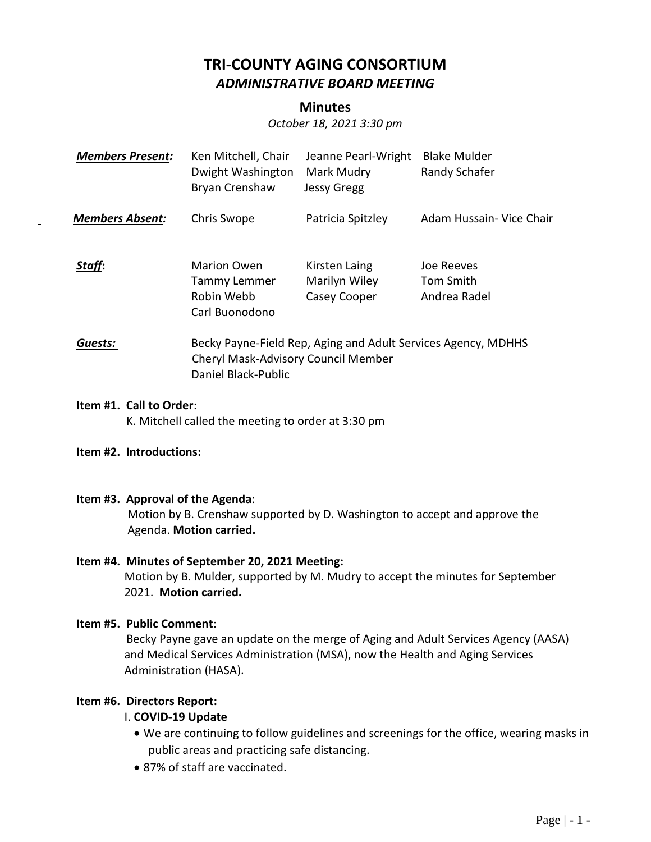# **TRI-COUNTY AGING CONSORTIUM** *ADMINISTRATIVE BOARD MEETING*

# **Minutes**

*October 18, 2021 3:30 pm*

| <b>Members Present:</b> | Ken Mitchell, Chair<br>Dwight Washington<br>Bryan Crenshaw                                                                  | Jeanne Pearl-Wright<br>Mark Mudry<br><b>Jessy Gregg</b> | <b>Blake Mulder</b><br>Randy Schafer    |
|-------------------------|-----------------------------------------------------------------------------------------------------------------------------|---------------------------------------------------------|-----------------------------------------|
| <b>Members Absent:</b>  | Chris Swope                                                                                                                 | Patricia Spitzley                                       | Adam Hussain- Vice Chair                |
| Staff:                  | <b>Marion Owen</b><br>Tammy Lemmer<br>Robin Webb<br>Carl Buonodono                                                          | Kirsten Laing<br>Marilyn Wiley<br>Casey Cooper          | Joe Reeves<br>Tom Smith<br>Andrea Radel |
| Guests:                 | Becky Payne-Field Rep, Aging and Adult Services Agency, MDHHS<br>Cheryl Mask-Advisory Council Member<br>Daniel Black-Public |                                                         |                                         |

#### **Item #1. Call to Order**: K. Mitchell called the meeting to order at 3:30 pm

#### **Item #2. Introductions:**

#### **Item #3. Approval of the Agenda**:

Motion by B. Crenshaw supported by D. Washington to accept and approve the Agenda. **Motion carried.**

#### **Item #4. Minutes of September 20, 2021 Meeting:**

Motion by B. Mulder, supported by M. Mudry to accept the minutes for September 2021. **Motion carried.**

#### **Item #5. Public Comment**:

 Becky Payne gave an update on the merge of Aging and Adult Services Agency (AASA) and Medical Services Administration (MSA), now the Health and Aging Services Administration (HASA).

#### **Item #6. Directors Report:**

# I. **COVID-19 Update**

- We are continuing to follow guidelines and screenings for the office, wearing masks in public areas and practicing safe distancing.
- 87% of staff are vaccinated.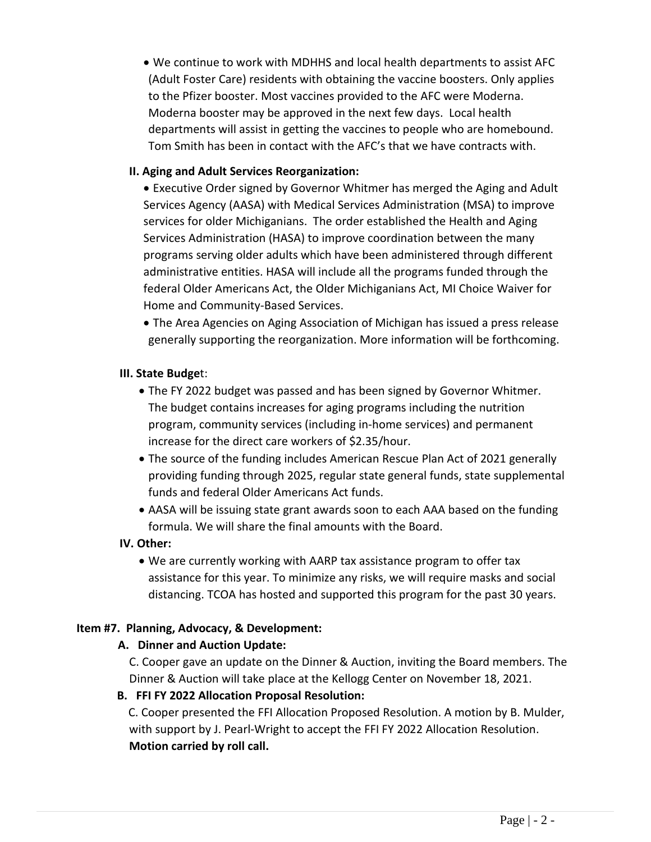• We continue to work with MDHHS and local health departments to assist AFC (Adult Foster Care) residents with obtaining the vaccine boosters. Only applies to the Pfizer booster. Most vaccines provided to the AFC were Moderna. Moderna booster may be approved in the next few days. Local health departments will assist in getting the vaccines to people who are homebound. Tom Smith has been in contact with the AFC's that we have contracts with.

# **II. Aging and Adult Services Reorganization:**

• Executive Order signed by Governor Whitmer has merged the Aging and Adult Services Agency (AASA) with Medical Services Administration (MSA) to improve services for older Michiganians. The order established the Health and Aging Services Administration (HASA) to improve coordination between the many programs serving older adults which have been administered through different administrative entities. HASA will include all the programs funded through the federal Older Americans Act, the Older Michiganians Act, MI Choice Waiver for Home and Community-Based Services.

• The Area Agencies on Aging Association of Michigan has issued a press release generally supporting the reorganization. More information will be forthcoming.

## **III. State Budge**t:

- The FY 2022 budget was passed and has been signed by Governor Whitmer. The budget contains increases for aging programs including the nutrition program, community services (including in-home services) and permanent increase for the direct care workers of \$2.35/hour.
- The source of the funding includes American Rescue Plan Act of 2021 generally providing funding through 2025, regular state general funds, state supplemental funds and federal Older Americans Act funds.
- AASA will be issuing state grant awards soon to each AAA based on the funding formula. We will share the final amounts with the Board.

# **IV. Other:**

• We are currently working with AARP tax assistance program to offer tax assistance for this year. To minimize any risks, we will require masks and social distancing. TCOA has hosted and supported this program for the past 30 years.

# **Item #7. Planning, Advocacy, & Development:**

# **A. Dinner and Auction Update:**

C. Cooper gave an update on the Dinner & Auction, inviting the Board members. The Dinner & Auction will take place at the Kellogg Center on November 18, 2021.

# **B. FFI FY 2022 Allocation Proposal Resolution:**

C. Cooper presented the FFI Allocation Proposed Resolution. A motion by B. Mulder, with support by J. Pearl-Wright to accept the FFI FY 2022 Allocation Resolution. **Motion carried by roll call.**